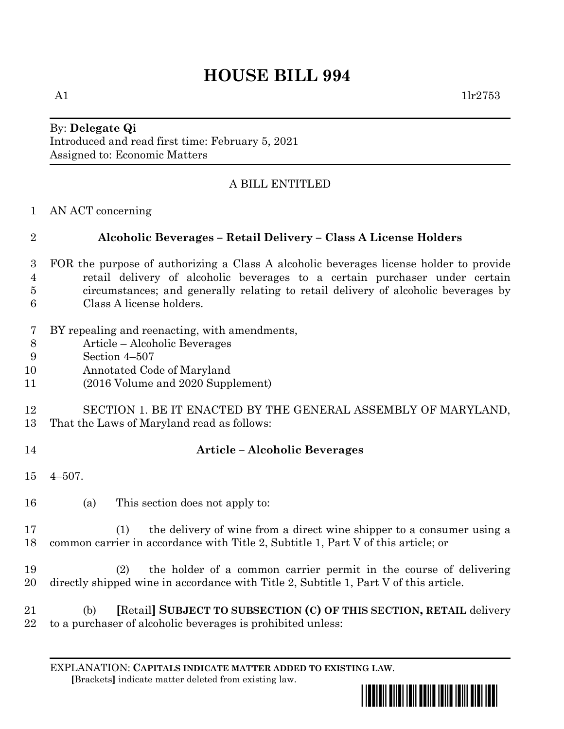# **HOUSE BILL 994**

### By: **Delegate Qi** Introduced and read first time: February 5, 2021 Assigned to: Economic Matters

## A BILL ENTITLED

AN ACT concerning

## **Alcoholic Beverages – Retail Delivery – Class A License Holders**

- FOR the purpose of authorizing a Class A alcoholic beverages license holder to provide retail delivery of alcoholic beverages to a certain purchaser under certain circumstances; and generally relating to retail delivery of alcoholic beverages by Class A license holders.
- BY repealing and reenacting, with amendments,
- Article Alcoholic Beverages
- Section 4–507
- Annotated Code of Maryland
- (2016 Volume and 2020 Supplement)

#### SECTION 1. BE IT ENACTED BY THE GENERAL ASSEMBLY OF MARYLAND, That the Laws of Maryland read as follows:

## **Article – Alcoholic Beverages**

- 4–507.
- (a) This section does not apply to:

 (1) the delivery of wine from a direct wine shipper to a consumer using a common carrier in accordance with Title 2, Subtitle 1, Part V of this article; or

 (2) the holder of a common carrier permit in the course of delivering directly shipped wine in accordance with Title 2, Subtitle 1, Part V of this article.

 (b) **[**Retail**] SUBJECT TO SUBSECTION (C) OF THIS SECTION, RETAIL** delivery to a purchaser of alcoholic beverages is prohibited unless: